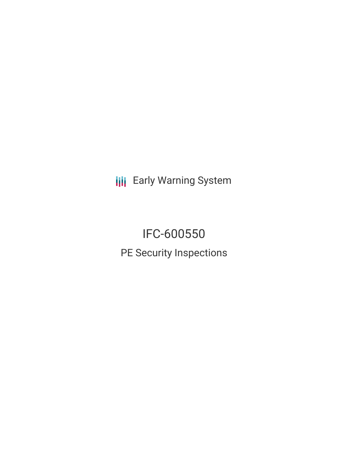**III** Early Warning System

IFC-600550 PE Security Inspections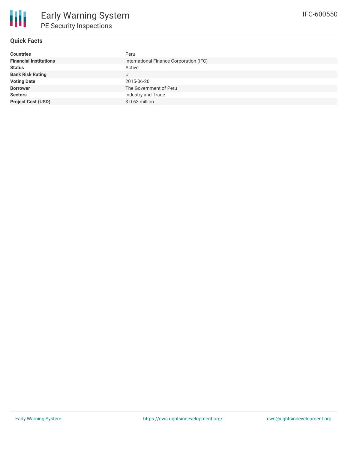

## **Quick Facts**

| <b>Countries</b>              | Peru                                    |
|-------------------------------|-----------------------------------------|
| <b>Financial Institutions</b> | International Finance Corporation (IFC) |
| <b>Status</b>                 | Active                                  |
| <b>Bank Risk Rating</b>       | U                                       |
| <b>Voting Date</b>            | 2015-06-26                              |
| <b>Borrower</b>               | The Government of Peru                  |
| <b>Sectors</b>                | Industry and Trade                      |
| <b>Project Cost (USD)</b>     | $$0.63$ million                         |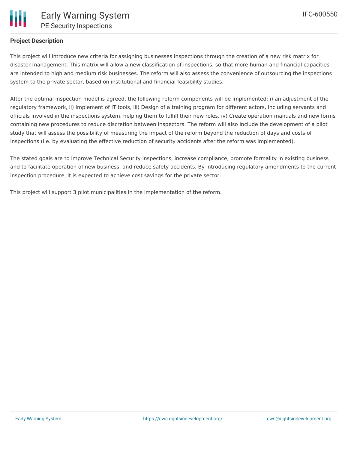

## **Project Description**

This project will introduce new criteria for assigning businesses inspections through the creation of a new risk matrix for disaster management. This matrix will allow a new classification of inspections, so that more human and financial capacities are intended to high and medium risk businesses. The reform will also assess the convenience of outsourcing the inspections system to the private sector, based on institutional and financial feasibility studies.

After the optimal inspection model is agreed, the following reform components will be implemented: i) an adjustment of the regulatory framework, ii) Implement of IT tools, iii) Design of a training program for different actors, including servants and officials involved in the inspections system, helping them to fulfill their new roles, iv) Create operation manuals and new forms containing new procedures to reduce discretion between inspectors. The reform will also include the development of a pilot study that will assess the possibility of measuring the impact of the reform beyond the reduction of days and costs of inspections (i.e. by evaluating the effective reduction of security accidents after the reform was implemented).

The stated goals are to improve Technical Security inspections, increase compliance, promote formality in existing business and to facilitate operation of new business, and reduce safety accidents. By introducing regulatory amendments to the current inspection procedure, it is expected to achieve cost savings for the private sector.

This project will support 3 pilot municipalities in the implementation of the reform.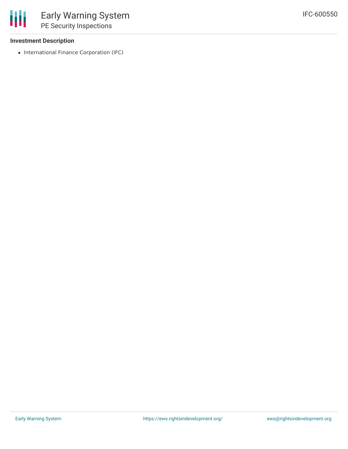## **Investment Description**

• International Finance Corporation (IFC)